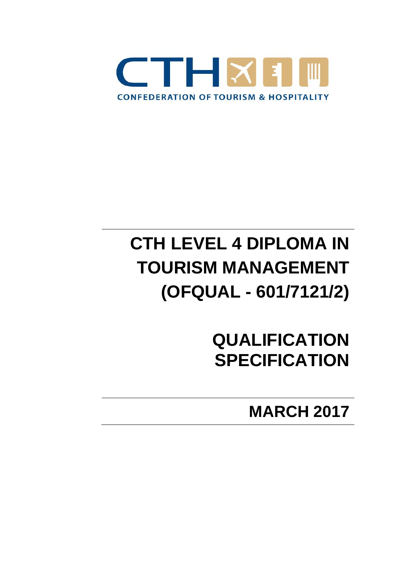

# **CTH LEVEL 4 DIPLOMA IN TOURISM MANAGEMENT (OFQUAL - 601/7121/2)**

**QUALIFICATION SPECIFICATION**

**MARCH 2017**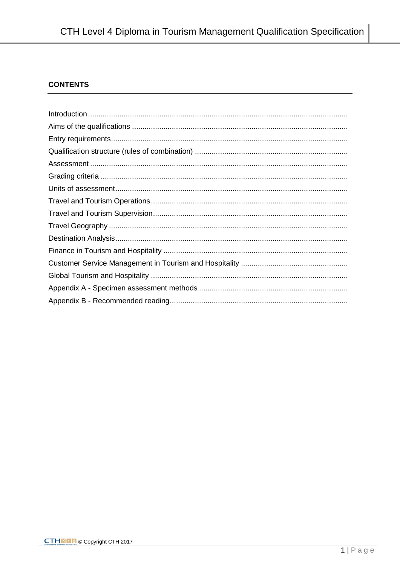# **CONTENTS**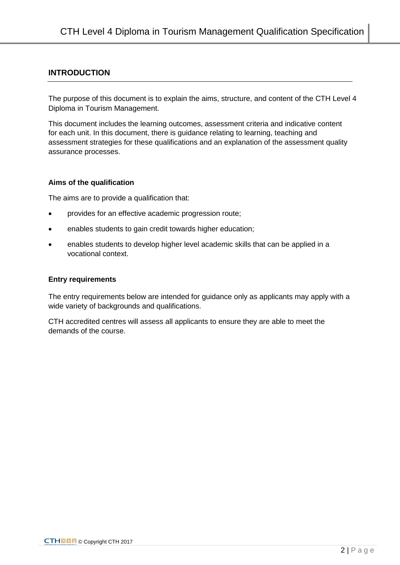### **INTRODUCTION**

The purpose of this document is to explain the aims, structure, and content of the CTH Level 4 Diploma in Tourism Management.

This document includes the learning outcomes, assessment criteria and indicative content for each unit. In this document, there is guidance relating to learning, teaching and assessment strategies for these qualifications and an explanation of the assessment quality assurance processes.

#### **Aims of the qualification**

The aims are to provide a qualification that:

- provides for an effective academic progression route;
- enables students to gain credit towards higher education;
- enables students to develop higher level academic skills that can be applied in a vocational context.

#### **Entry requirements**

The entry requirements below are intended for guidance only as applicants may apply with a wide variety of backgrounds and qualifications.

CTH accredited centres will assess all applicants to ensure they are able to meet the demands of the course.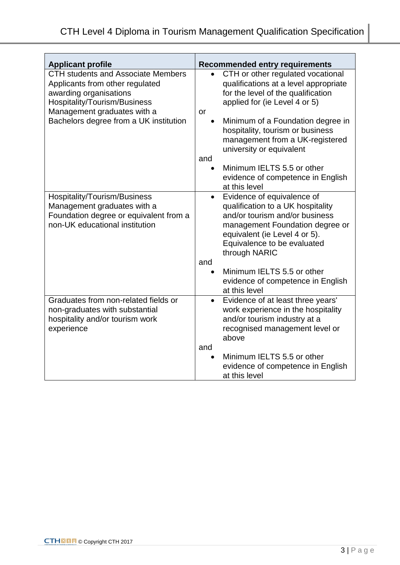| <b>Applicant profile</b>                                                                                                               | <b>Recommended entry requirements</b>                                                                                                                           |
|----------------------------------------------------------------------------------------------------------------------------------------|-----------------------------------------------------------------------------------------------------------------------------------------------------------------|
| <b>CTH students and Associate Members</b><br>Applicants from other regulated<br>awarding organisations<br>Hospitality/Tourism/Business | CTH or other regulated vocational<br>qualifications at a level appropriate<br>for the level of the qualification<br>applied for (ie Level 4 or 5)               |
| Management graduates with a<br>Bachelors degree from a UK institution                                                                  | or<br>Minimum of a Foundation degree in                                                                                                                         |
|                                                                                                                                        | hospitality, tourism or business<br>management from a UK-registered<br>university or equivalent                                                                 |
|                                                                                                                                        | and                                                                                                                                                             |
|                                                                                                                                        | Minimum IELTS 5.5 or other<br>evidence of competence in English<br>at this level                                                                                |
| Hospitality/Tourism/Business                                                                                                           | Evidence of equivalence of<br>$\bullet$                                                                                                                         |
| Management graduates with a<br>Foundation degree or equivalent from a                                                                  | qualification to a UK hospitality<br>and/or tourism and/or business                                                                                             |
| non-UK educational institution                                                                                                         | management Foundation degree or<br>equivalent (ie Level 4 or 5).<br>Equivalence to be evaluated<br>through NARIC                                                |
|                                                                                                                                        | and                                                                                                                                                             |
|                                                                                                                                        | Minimum IELTS 5.5 or other<br>evidence of competence in English<br>at this level                                                                                |
| Graduates from non-related fields or<br>non-graduates with substantial<br>hospitality and/or tourism work<br>experience                | Evidence of at least three years'<br>$\bullet$<br>work experience in the hospitality<br>and/or tourism industry at a<br>recognised management level or<br>above |
|                                                                                                                                        | and                                                                                                                                                             |
|                                                                                                                                        | Minimum IELTS 5.5 or other<br>evidence of competence in English<br>at this level                                                                                |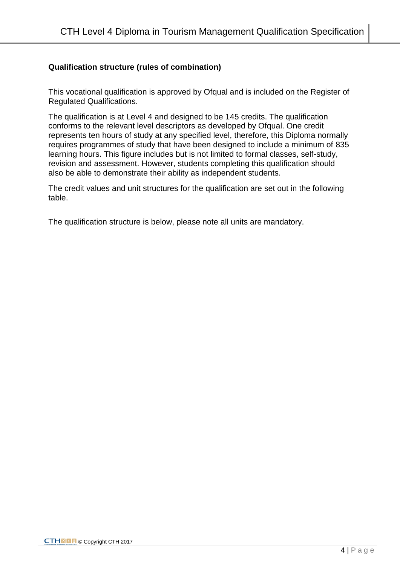## **Qualification structure (rules of combination)**

This vocational qualification is approved by Ofqual and is included on the Register of Regulated Qualifications.

The qualification is at Level 4 and designed to be 145 credits. The qualification conforms to the relevant level descriptors as developed by Ofqual. One credit represents ten hours of study at any specified level, therefore, this Diploma normally requires programmes of study that have been designed to include a minimum of 835 learning hours. This figure includes but is not limited to formal classes, self-study, revision and assessment. However, students completing this qualification should also be able to demonstrate their ability as independent students.

The credit values and unit structures for the qualification are set out in the following table.

The qualification structure is below, please note all units are mandatory.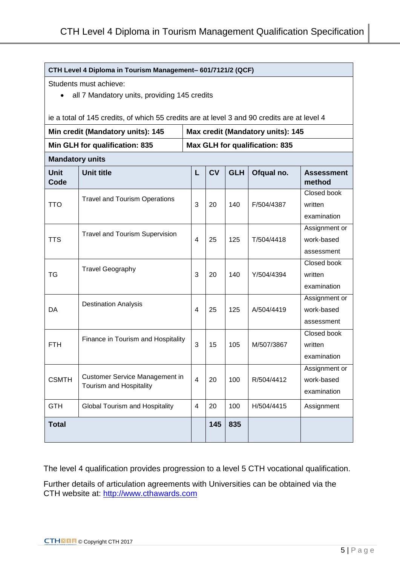#### **CTH Level 4 Diploma in Tourism Management– 601/7121/2 (QCF)**

Students must achieve:

• all 7 Mandatory units, providing 145 credits

ie a total of 145 credits, of which 55 credits are at level 3 and 90 credits are at level 4

| Min credit (Mandatory units): 145 |                                                                  |                                       | Max credit (Mandatory units): 145 |            |            |                                            |  |
|-----------------------------------|------------------------------------------------------------------|---------------------------------------|-----------------------------------|------------|------------|--------------------------------------------|--|
|                                   | Min GLH for qualification: 835                                   | <b>Max GLH for qualification: 835</b> |                                   |            |            |                                            |  |
| <b>Mandatory units</b>            |                                                                  |                                       |                                   |            |            |                                            |  |
| <b>Unit</b><br>Code               | <b>Unit title</b>                                                | L                                     | <b>CV</b>                         | <b>GLH</b> | Ofqual no. | <b>Assessment</b><br>method                |  |
| <b>TTO</b>                        | <b>Travel and Tourism Operations</b>                             | 3                                     | 20                                | 140        | F/504/4387 | Closed book<br>written<br>examination      |  |
| <b>TTS</b>                        | <b>Travel and Tourism Supervision</b>                            | 4                                     | 25                                | 125        | T/504/4418 | Assignment or<br>work-based<br>assessment  |  |
| <b>TG</b>                         | <b>Travel Geography</b>                                          | 3                                     | 20                                | 140        | Y/504/4394 | Closed book<br>written<br>examination      |  |
| DA                                | <b>Destination Analysis</b>                                      | 4                                     | 25                                | 125        | A/504/4419 | Assignment or<br>work-based<br>assessment  |  |
| <b>FTH</b>                        | Finance in Tourism and Hospitality                               | 3                                     | 15                                | 105        | M/507/3867 | Closed book<br>written<br>examination      |  |
| <b>CSMTH</b>                      | <b>Customer Service Management in</b><br>Tourism and Hospitality | $\overline{4}$                        | 20                                | 100        | R/504/4412 | Assignment or<br>work-based<br>examination |  |
| <b>GTH</b>                        | Global Tourism and Hospitality                                   | $\overline{4}$                        | 20                                | 100        | H/504/4415 | Assignment                                 |  |
| <b>Total</b>                      |                                                                  |                                       | 145                               | 835        |            |                                            |  |

The level 4 qualification provides progression to a level 5 CTH vocational qualification.

Further details of articulation agreements with Universities can be obtained via the CTH website at: [http://www.cthawards.com](http://www.cthawards.com/)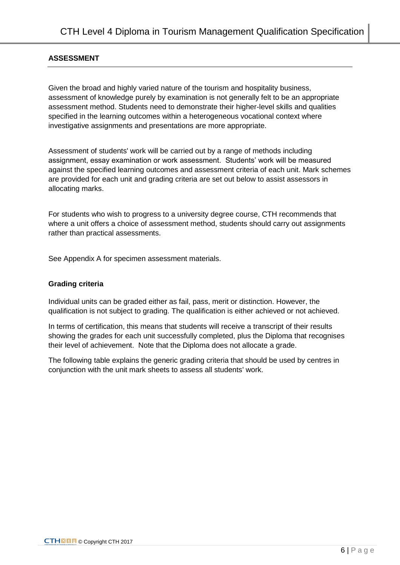#### **ASSESSMENT**

Given the broad and highly varied nature of the tourism and hospitality business, assessment of knowledge purely by examination is not generally felt to be an appropriate assessment method. Students need to demonstrate their higher-level skills and qualities specified in the learning outcomes within a heterogeneous vocational context where investigative assignments and presentations are more appropriate.

Assessment of students' work will be carried out by a range of methods including assignment, essay examination or work assessment. Students' work will be measured against the specified learning outcomes and assessment criteria of each unit. Mark schemes are provided for each unit and grading criteria are set out below to assist assessors in allocating marks.

For students who wish to progress to a university degree course, CTH recommends that where a unit offers a choice of assessment method, students should carry out assignments rather than practical assessments.

See Appendix A for specimen assessment materials.

#### **Grading criteria**

Individual units can be graded either as fail, pass, merit or distinction. However, the qualification is not subject to grading. The qualification is either achieved or not achieved.

In terms of certification, this means that students will receive a transcript of their results showing the grades for each unit successfully completed, plus the Diploma that recognises their level of achievement. Note that the Diploma does not allocate a grade.

The following table explains the generic grading criteria that should be used by centres in conjunction with the unit mark sheets to assess all students' work.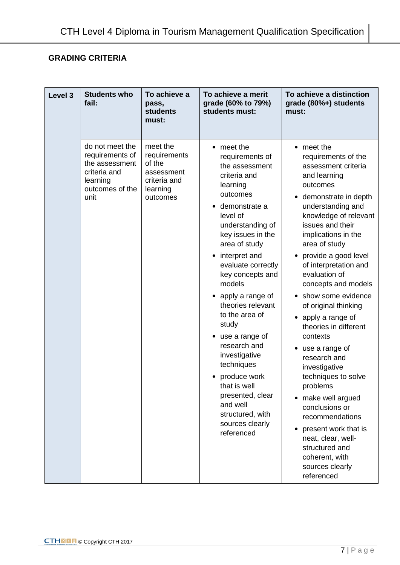# **GRADING CRITERIA**

| Level 3 | <b>Students who</b><br>fail:                                                                                | To achieve a<br>pass,<br><b>students</b><br>must:                                        | To achieve a merit<br>grade (60% to 79%)<br>students must:                                                                                                                                                                                                                                                                                                                                                                                                                                                    | To achieve a distinction<br>grade (80%+) students<br>must:                                                                                                                                                                                                                                                                                                                                                                                                                                                                                                                                                                                                                                                |
|---------|-------------------------------------------------------------------------------------------------------------|------------------------------------------------------------------------------------------|---------------------------------------------------------------------------------------------------------------------------------------------------------------------------------------------------------------------------------------------------------------------------------------------------------------------------------------------------------------------------------------------------------------------------------------------------------------------------------------------------------------|-----------------------------------------------------------------------------------------------------------------------------------------------------------------------------------------------------------------------------------------------------------------------------------------------------------------------------------------------------------------------------------------------------------------------------------------------------------------------------------------------------------------------------------------------------------------------------------------------------------------------------------------------------------------------------------------------------------|
|         | do not meet the<br>requirements of<br>the assessment<br>criteria and<br>learning<br>outcomes of the<br>unit | meet the<br>requirements<br>of the<br>assessment<br>criteria and<br>learning<br>outcomes | • meet the<br>requirements of<br>the assessment<br>criteria and<br>learning<br>outcomes<br>demonstrate a<br>level of<br>understanding of<br>key issues in the<br>area of study<br>interpret and<br>evaluate correctly<br>key concepts and<br>models<br>apply a range of<br>theories relevant<br>to the area of<br>study<br>use a range of<br>research and<br>investigative<br>techniques<br>produce work<br>that is well<br>presented, clear<br>and well<br>structured, with<br>sources clearly<br>referenced | • meet the<br>requirements of the<br>assessment criteria<br>and learning<br>outcomes<br>demonstrate in depth<br>understanding and<br>knowledge of relevant<br>issues and their<br>implications in the<br>area of study<br>provide a good level<br>of interpretation and<br>evaluation of<br>concepts and models<br>show some evidence<br>of original thinking<br>• apply a range of<br>theories in different<br>contexts<br>use a range of<br>$\bullet$<br>research and<br>investigative<br>techniques to solve<br>problems<br>• make well argued<br>conclusions or<br>recommendations<br>present work that is<br>neat, clear, well-<br>structured and<br>coherent, with<br>sources clearly<br>referenced |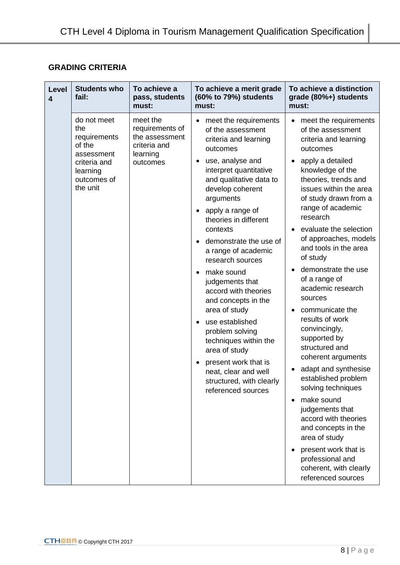# **GRADING CRITERIA**

| <b>Level</b><br>$\overline{\mathbf{4}}$ | <b>Students who</b><br>fail:                                                                                      | To achieve a<br>pass, students<br>must:                                               | To achieve a merit grade<br>(60% to 79%) students<br>must:                                                                                                                                                                                                                                                                                                                                                                                                                                                                                                                                                                                                          | To achieve a distinction<br>grade (80%+) students<br>must:                                                                                                                                                                                                                                                                                                                                                                                                                                                                                                                                                                                                                                                                                                                           |
|-----------------------------------------|-------------------------------------------------------------------------------------------------------------------|---------------------------------------------------------------------------------------|---------------------------------------------------------------------------------------------------------------------------------------------------------------------------------------------------------------------------------------------------------------------------------------------------------------------------------------------------------------------------------------------------------------------------------------------------------------------------------------------------------------------------------------------------------------------------------------------------------------------------------------------------------------------|--------------------------------------------------------------------------------------------------------------------------------------------------------------------------------------------------------------------------------------------------------------------------------------------------------------------------------------------------------------------------------------------------------------------------------------------------------------------------------------------------------------------------------------------------------------------------------------------------------------------------------------------------------------------------------------------------------------------------------------------------------------------------------------|
|                                         | do not meet<br>the<br>requirements<br>of the<br>assessment<br>criteria and<br>learning<br>outcomes of<br>the unit | meet the<br>requirements of<br>the assessment<br>criteria and<br>learning<br>outcomes | meet the requirements<br>$\bullet$<br>of the assessment<br>criteria and learning<br>outcomes<br>use, analyse and<br>$\bullet$<br>interpret quantitative<br>and qualitative data to<br>develop coherent<br>arguments<br>apply a range of<br>$\bullet$<br>theories in different<br>contexts<br>demonstrate the use of<br>a range of academic<br>research sources<br>make sound<br>$\bullet$<br>judgements that<br>accord with theories<br>and concepts in the<br>area of study<br>use established<br>٠<br>problem solving<br>techniques within the<br>area of study<br>present work that is<br>neat, clear and well<br>structured, with clearly<br>referenced sources | meet the requirements<br>of the assessment<br>criteria and learning<br>outcomes<br>apply a detailed<br>knowledge of the<br>theories, trends and<br>issues within the area<br>of study drawn from a<br>range of academic<br>research<br>evaluate the selection<br>of approaches, models<br>and tools in the area<br>of study<br>demonstrate the use<br>of a range of<br>academic research<br>sources<br>communicate the<br>results of work<br>convincingly,<br>supported by<br>structured and<br>coherent arguments<br>adapt and synthesise<br>established problem<br>solving techniques<br>make sound<br>judgements that<br>accord with theories<br>and concepts in the<br>area of study<br>present work that is<br>professional and<br>coherent, with clearly<br>referenced sources |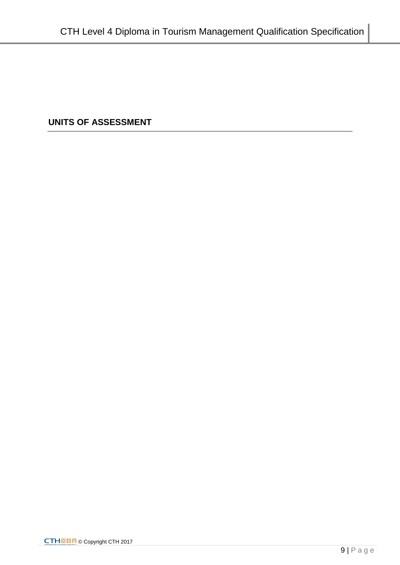**UNITS OF ASSESSMENT**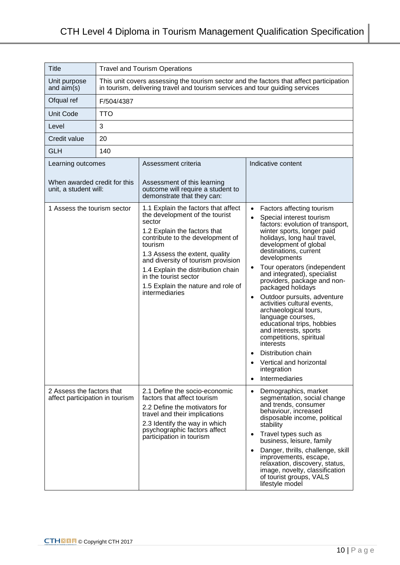| Title                                                        | <b>Travel and Tourism Operations</b>                                                                                                                                    |                                                                                                                                                                                                                                                                                                                                                               |                                                                                                                                                                                                                                                                                                                                                                                                                                                                                                                                                                                                                                                                     |  |  |
|--------------------------------------------------------------|-------------------------------------------------------------------------------------------------------------------------------------------------------------------------|---------------------------------------------------------------------------------------------------------------------------------------------------------------------------------------------------------------------------------------------------------------------------------------------------------------------------------------------------------------|---------------------------------------------------------------------------------------------------------------------------------------------------------------------------------------------------------------------------------------------------------------------------------------------------------------------------------------------------------------------------------------------------------------------------------------------------------------------------------------------------------------------------------------------------------------------------------------------------------------------------------------------------------------------|--|--|
| Unit purpose<br>and $aim(s)$                                 | This unit covers assessing the tourism sector and the factors that affect participation<br>in tourism, delivering travel and tourism services and tour guiding services |                                                                                                                                                                                                                                                                                                                                                               |                                                                                                                                                                                                                                                                                                                                                                                                                                                                                                                                                                                                                                                                     |  |  |
| Ofqual ref                                                   | F/504/4387                                                                                                                                                              |                                                                                                                                                                                                                                                                                                                                                               |                                                                                                                                                                                                                                                                                                                                                                                                                                                                                                                                                                                                                                                                     |  |  |
| <b>Unit Code</b>                                             | <b>TTO</b>                                                                                                                                                              |                                                                                                                                                                                                                                                                                                                                                               |                                                                                                                                                                                                                                                                                                                                                                                                                                                                                                                                                                                                                                                                     |  |  |
| Level                                                        | 3                                                                                                                                                                       |                                                                                                                                                                                                                                                                                                                                                               |                                                                                                                                                                                                                                                                                                                                                                                                                                                                                                                                                                                                                                                                     |  |  |
| Credit value                                                 | 20                                                                                                                                                                      |                                                                                                                                                                                                                                                                                                                                                               |                                                                                                                                                                                                                                                                                                                                                                                                                                                                                                                                                                                                                                                                     |  |  |
| <b>GLH</b>                                                   | 140                                                                                                                                                                     |                                                                                                                                                                                                                                                                                                                                                               |                                                                                                                                                                                                                                                                                                                                                                                                                                                                                                                                                                                                                                                                     |  |  |
| Learning outcomes                                            |                                                                                                                                                                         | Assessment criteria                                                                                                                                                                                                                                                                                                                                           | Indicative content                                                                                                                                                                                                                                                                                                                                                                                                                                                                                                                                                                                                                                                  |  |  |
| When awarded credit for this<br>unit, a student will:        |                                                                                                                                                                         | Assessment of this learning<br>outcome will require a student to<br>demonstrate that they can:                                                                                                                                                                                                                                                                |                                                                                                                                                                                                                                                                                                                                                                                                                                                                                                                                                                                                                                                                     |  |  |
| 1 Assess the tourism sector                                  |                                                                                                                                                                         | 1.1 Explain the factors that affect<br>the development of the tourist<br>sector<br>1.2 Explain the factors that<br>contribute to the development of<br>tourism<br>1.3 Assess the extent, quality<br>and diversity of tourism provision<br>1.4 Explain the distribution chain<br>in the tourist sector<br>1.5 Explain the nature and role of<br>intermediaries | • Factors affecting tourism<br>Special interest tourism<br>factors: evolution of transport,<br>winter sports, longer paid<br>holidays, long haul travel,<br>development of global<br>destinations, current<br>developments<br>Tour operators (independent<br>$\bullet$<br>and integrated), specialist<br>providers, package and non-<br>packaged holidays<br>Outdoor pursuits, adventure<br>$\bullet$<br>activities cultural events,<br>archaeological tours,<br>language courses,<br>educational trips, hobbies<br>and interests, sports<br>competitions, spiritual<br>interests<br>Distribution chain<br>Vertical and horizontal<br>integration<br>Intermediaries |  |  |
| 2 Assess the factors that<br>affect participation in tourism |                                                                                                                                                                         | 2.1 Define the socio-economic<br>factors that affect tourism<br>2.2 Define the motivators for<br>travel and their implications<br>2.3 Identify the way in which<br>psychographic factors affect<br>participation in tourism                                                                                                                                   | Demographics, market<br>$\bullet$<br>segmentation, social change<br>and trends, consumer<br>behaviour, increased<br>disposable income, political<br>stability<br>Travel types such as<br>$\bullet$<br>business, leisure, family<br>Danger, thrills, challenge, skill<br>$\bullet$<br>improvements, escape,<br>relaxation, discovery, status,<br>image, novelty, classification<br>of tourist groups, VALS<br>lifestyle model                                                                                                                                                                                                                                        |  |  |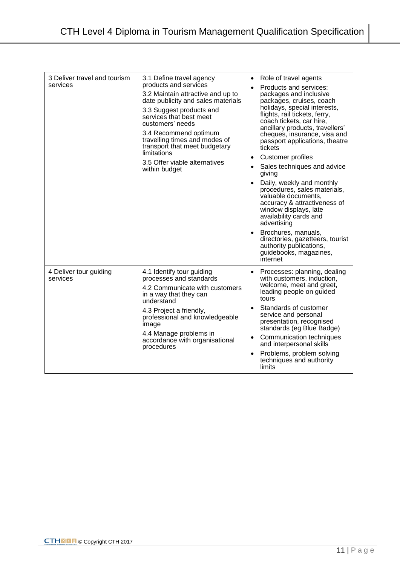| 3 Deliver travel and tourism<br>services | 3.1 Define travel agency<br>products and services<br>3.2 Maintain attractive and up to<br>date publicity and sales materials<br>3.3 Suggest products and<br>services that best meet<br>customers' needs<br>3.4 Recommend optimum<br>travelling times and modes of<br>transport that meet budgetary<br>limitations<br>3.5 Offer viable alternatives<br>within budget | Role of travel agents<br>$\bullet$<br>Products and services:<br>$\bullet$<br>packages and inclusive<br>packages, cruises, coach<br>holidays, special interests,<br>flights, rail tickets, ferry,<br>coach tickets, car hire,<br>ancillary products, travellers'<br>cheques, insurance, visa and<br>passport applications, theatre<br>tickets<br><b>Customer profiles</b><br>٠<br>Sales techniques and advice<br>$\bullet$<br>giving<br>Daily, weekly and monthly<br>$\bullet$<br>procedures, sales materials,<br>valuable documents,<br>accuracy & attractiveness of<br>window displays, late<br>availability cards and<br>advertising<br>Brochures, manuals,<br>$\bullet$<br>directories, gazetteers, tourist<br>authority publications,<br>guidebooks, magazines, |
|------------------------------------------|---------------------------------------------------------------------------------------------------------------------------------------------------------------------------------------------------------------------------------------------------------------------------------------------------------------------------------------------------------------------|---------------------------------------------------------------------------------------------------------------------------------------------------------------------------------------------------------------------------------------------------------------------------------------------------------------------------------------------------------------------------------------------------------------------------------------------------------------------------------------------------------------------------------------------------------------------------------------------------------------------------------------------------------------------------------------------------------------------------------------------------------------------|
| 4 Deliver tour guiding<br>services       | 4.1 Identify tour guiding<br>processes and standards<br>4.2 Communicate with customers<br>in a way that they can<br>understand<br>4.3 Project a friendly,<br>professional and knowledgeable<br>image<br>4.4 Manage problems in<br>accordance with organisational<br>procedures                                                                                      | internet<br>Processes: planning, dealing<br>with customers, induction,<br>welcome, meet and greet,<br>leading people on guided<br>tours<br>Standards of customer<br>$\bullet$<br>service and personal<br>presentation, recognised<br>standards (eg Blue Badge)<br>Communication techniques<br>$\bullet$<br>and interpersonal skills<br>Problems, problem solving<br>$\bullet$<br>techniques and authority<br>limits                                                                                                                                                                                                                                                                                                                                                 |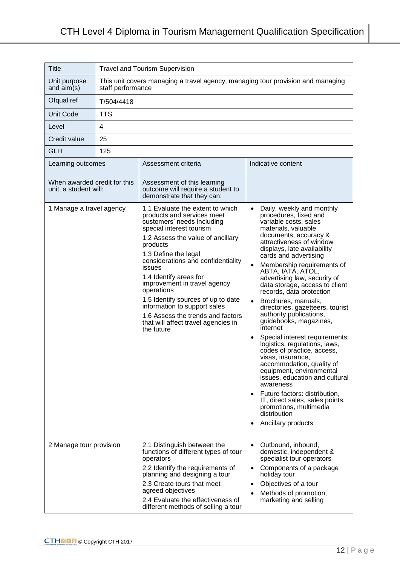| <b>Title</b>                                                               | <b>Travel and Tourism Supervision</b>                                                                |                                                                                                                                                                                                                                                                                                                                                                                                                                                                                           |                                                                                                                                                                                                                                                                                                                                                                                                                                                                                                                                                                                                                                                                                                                                                                                                                                                                                          |  |
|----------------------------------------------------------------------------|------------------------------------------------------------------------------------------------------|-------------------------------------------------------------------------------------------------------------------------------------------------------------------------------------------------------------------------------------------------------------------------------------------------------------------------------------------------------------------------------------------------------------------------------------------------------------------------------------------|------------------------------------------------------------------------------------------------------------------------------------------------------------------------------------------------------------------------------------------------------------------------------------------------------------------------------------------------------------------------------------------------------------------------------------------------------------------------------------------------------------------------------------------------------------------------------------------------------------------------------------------------------------------------------------------------------------------------------------------------------------------------------------------------------------------------------------------------------------------------------------------|--|
| Unit purpose<br>and $aim(s)$                                               | This unit covers managing a travel agency, managing tour provision and managing<br>staff performance |                                                                                                                                                                                                                                                                                                                                                                                                                                                                                           |                                                                                                                                                                                                                                                                                                                                                                                                                                                                                                                                                                                                                                                                                                                                                                                                                                                                                          |  |
| Ofqual ref                                                                 | T/504/4418                                                                                           |                                                                                                                                                                                                                                                                                                                                                                                                                                                                                           |                                                                                                                                                                                                                                                                                                                                                                                                                                                                                                                                                                                                                                                                                                                                                                                                                                                                                          |  |
| <b>Unit Code</b>                                                           | <b>TTS</b>                                                                                           |                                                                                                                                                                                                                                                                                                                                                                                                                                                                                           |                                                                                                                                                                                                                                                                                                                                                                                                                                                                                                                                                                                                                                                                                                                                                                                                                                                                                          |  |
| Level                                                                      | 4                                                                                                    |                                                                                                                                                                                                                                                                                                                                                                                                                                                                                           |                                                                                                                                                                                                                                                                                                                                                                                                                                                                                                                                                                                                                                                                                                                                                                                                                                                                                          |  |
| Credit value                                                               | 25                                                                                                   |                                                                                                                                                                                                                                                                                                                                                                                                                                                                                           |                                                                                                                                                                                                                                                                                                                                                                                                                                                                                                                                                                                                                                                                                                                                                                                                                                                                                          |  |
| <b>GLH</b>                                                                 | 125                                                                                                  |                                                                                                                                                                                                                                                                                                                                                                                                                                                                                           |                                                                                                                                                                                                                                                                                                                                                                                                                                                                                                                                                                                                                                                                                                                                                                                                                                                                                          |  |
| Learning outcomes<br>When awarded credit for this<br>unit, a student will: |                                                                                                      | Assessment criteria<br>Assessment of this learning<br>outcome will require a student to<br>demonstrate that they can:                                                                                                                                                                                                                                                                                                                                                                     | Indicative content                                                                                                                                                                                                                                                                                                                                                                                                                                                                                                                                                                                                                                                                                                                                                                                                                                                                       |  |
| 1 Manage a travel agency                                                   |                                                                                                      | 1.1 Evaluate the extent to which<br>products and services meet<br>customers' needs including<br>special interest tourism<br>1.2 Assess the value of ancillary<br>products<br>1.3 Define the legal<br>considerations and confidentiality<br>issues<br>1.4 Identify areas for<br>improvement in travel agency<br>operations<br>1.5 Identify sources of up to date<br>information to support sales<br>1.6 Assess the trends and factors<br>that will affect travel agencies in<br>the future | Daily, weekly and monthly<br>$\bullet$<br>procedures, fixed and<br>variable costs, sales<br>materials, valuable<br>documents, accuracy &<br>attractiveness of window<br>displays, late availability<br>cards and advertising<br>Membership requirements of<br>ABTA, IATÀ, ATOL,<br>advertising law, security of<br>data storage, access to client<br>records, data protection<br>Brochures, manuals,<br>directories, gazetteers, tourist<br>authority publications,<br>guidebooks, magazines,<br>internet<br>Special interest requirements:<br>$\bullet$<br>logistics, regulations, laws,<br>codes of practice, access,<br>visas, insurance,<br>accommodation, quality of<br>equipment, environmental<br>issues, education and cultural<br>awareness<br>Future factors: distribution,<br>IT, direct sales, sales points,<br>promotions, multimedia<br>distribution<br>Ancillary products |  |
| 2 Manage tour provision                                                    |                                                                                                      | 2.1 Distinguish between the<br>functions of different types of tour<br>operators<br>2.2 Identify the requirements of<br>planning and designing a tour<br>2.3 Create tours that meet<br>agreed objectives<br>2.4 Evaluate the effectiveness of                                                                                                                                                                                                                                             | Outbound, inbound,<br>domestic, independent &<br>specialist tour operators<br>Components of a package<br>holiday tour<br>Objectives of a tour<br>٠<br>Methods of promotion,<br>$\bullet$<br>marketing and selling                                                                                                                                                                                                                                                                                                                                                                                                                                                                                                                                                                                                                                                                        |  |
|                                                                            |                                                                                                      | different methods of selling a tour                                                                                                                                                                                                                                                                                                                                                                                                                                                       |                                                                                                                                                                                                                                                                                                                                                                                                                                                                                                                                                                                                                                                                                                                                                                                                                                                                                          |  |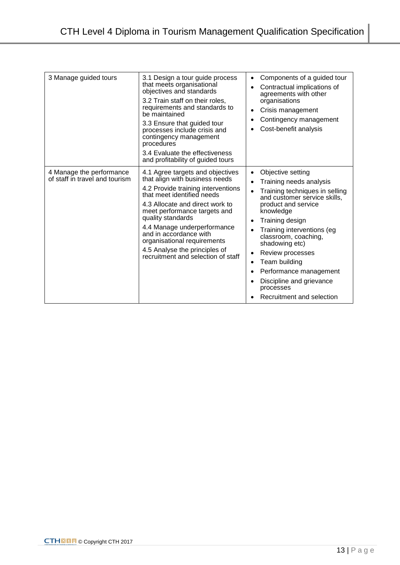| 3 Manage guided tours                                      | 3.1 Design a tour guide process<br>that meets organisational<br>objectives and standards<br>3.2 Train staff on their roles,<br>requirements and standards to<br>be maintained<br>3.3 Ensure that guided tour<br>processes include crisis and<br>contingency management<br>procedures<br>3.4 Evaluate the effectiveness<br>and profitability of guided tours                                   | Components of a guided tour<br>٠<br>Contractual implications of<br>$\bullet$<br>agreements with other<br>organisations<br>Crisis management<br>٠<br>Contingency management<br>٠<br>Cost-benefit analysis<br>٠                                                                                                                                                                                                                                                      |
|------------------------------------------------------------|-----------------------------------------------------------------------------------------------------------------------------------------------------------------------------------------------------------------------------------------------------------------------------------------------------------------------------------------------------------------------------------------------|--------------------------------------------------------------------------------------------------------------------------------------------------------------------------------------------------------------------------------------------------------------------------------------------------------------------------------------------------------------------------------------------------------------------------------------------------------------------|
| 4 Manage the performance<br>of staff in travel and tourism | 4.1 Agree targets and objectives<br>that align with business needs<br>4.2 Provide training interventions<br>that meet identified needs<br>4.3 Allocate and direct work to<br>meet performance targets and<br>quality standards<br>4.4 Manage underperformance<br>and in accordance with<br>organisational requirements<br>4.5 Analyse the principles of<br>recruitment and selection of staff | Objective setting<br>$\bullet$<br>Training needs analysis<br>$\bullet$<br>Training techniques in selling<br>$\bullet$<br>and customer service skills,<br>product and service<br>knowledge<br>Training design<br>$\bullet$<br>Training interventions (eg<br>classroom, coaching,<br>shadowing etc)<br>Review processes<br>٠<br>Team building<br>٠<br>Performance management<br>٠<br>Discipline and grievance<br>$\bullet$<br>processes<br>Recruitment and selection |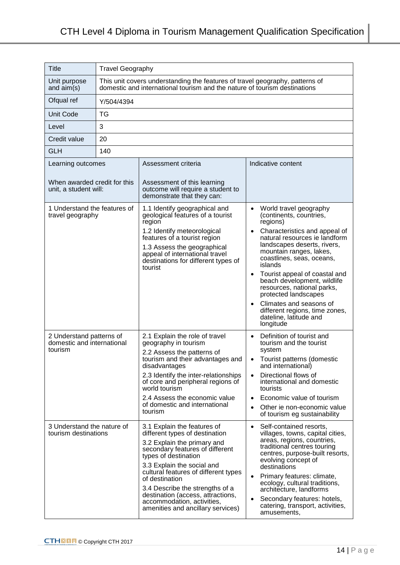| Title                                                             | <b>Travel Geography</b>                                                                                                                                   |                                                                                                                                                                                                                                                                                                                                                                                            |                                                                                                                                                                                                                                                                                                                                                                                                                                                             |  |
|-------------------------------------------------------------------|-----------------------------------------------------------------------------------------------------------------------------------------------------------|--------------------------------------------------------------------------------------------------------------------------------------------------------------------------------------------------------------------------------------------------------------------------------------------------------------------------------------------------------------------------------------------|-------------------------------------------------------------------------------------------------------------------------------------------------------------------------------------------------------------------------------------------------------------------------------------------------------------------------------------------------------------------------------------------------------------------------------------------------------------|--|
| Unit purpose<br>and $aim(s)$                                      | This unit covers understanding the features of travel geography, patterns of<br>domestic and international tourism and the nature of tourism destinations |                                                                                                                                                                                                                                                                                                                                                                                            |                                                                                                                                                                                                                                                                                                                                                                                                                                                             |  |
| Ofqual ref                                                        | Y/504/4394                                                                                                                                                |                                                                                                                                                                                                                                                                                                                                                                                            |                                                                                                                                                                                                                                                                                                                                                                                                                                                             |  |
| <b>Unit Code</b>                                                  | <b>TG</b>                                                                                                                                                 |                                                                                                                                                                                                                                                                                                                                                                                            |                                                                                                                                                                                                                                                                                                                                                                                                                                                             |  |
| Level                                                             | 3                                                                                                                                                         |                                                                                                                                                                                                                                                                                                                                                                                            |                                                                                                                                                                                                                                                                                                                                                                                                                                                             |  |
| Credit value                                                      | 20                                                                                                                                                        |                                                                                                                                                                                                                                                                                                                                                                                            |                                                                                                                                                                                                                                                                                                                                                                                                                                                             |  |
| <b>GLH</b>                                                        | 140                                                                                                                                                       |                                                                                                                                                                                                                                                                                                                                                                                            |                                                                                                                                                                                                                                                                                                                                                                                                                                                             |  |
| Learning outcomes                                                 |                                                                                                                                                           | Assessment criteria                                                                                                                                                                                                                                                                                                                                                                        | Indicative content                                                                                                                                                                                                                                                                                                                                                                                                                                          |  |
| When awarded credit for this<br>unit, a student will:             |                                                                                                                                                           | Assessment of this learning<br>outcome will require a student to<br>demonstrate that they can:                                                                                                                                                                                                                                                                                             |                                                                                                                                                                                                                                                                                                                                                                                                                                                             |  |
| 1 Understand the features of<br>travel geography                  |                                                                                                                                                           | 1.1 Identify geographical and<br>geological features of a tourist<br>region<br>1.2 Identify meteorological<br>features of a tourist region<br>1.3 Assess the geographical<br>appeal of international travel<br>destinations for different types of<br>tourist                                                                                                                              | World travel geography<br>(continents, countries,<br>regions)<br>Characteristics and appeal of<br>natural resources ie landform<br>landscapes deserts, rivers,<br>mountain ranges, lakes,<br>coastlines, seas, oceans,<br>islands<br>Tourist appeal of coastal and<br>beach development, wildlife<br>resources, national parks,<br>protected landscapes<br>Climates and seasons of<br>different regions, time zones,<br>dateline, latitude and<br>longitude |  |
| 2 Understand patterns of<br>domestic and international<br>tourism |                                                                                                                                                           | 2.1 Explain the role of travel<br>geography in tourism<br>2.2 Assess the patterns of<br>tourism and their advantages and<br>disadvantages<br>2.3 Identify the inter-relationships<br>of core and peripheral regions of<br>world tourism<br>2.4 Assess the economic value<br>of domestic and international<br>tourism                                                                       | Definition of tourist and<br>$\bullet$<br>tourism and the tourist<br>system<br>Tourist patterns (domestic<br>and international)<br>Directional flows of<br>international and domestic<br>tourists<br>Economic value of tourism<br>$\bullet$<br>Other ie non-economic value<br>of tourism eg sustainability                                                                                                                                                  |  |
| 3 Understand the nature of<br>tourism destinations                |                                                                                                                                                           | 3.1 Explain the features of<br>different types of destination<br>3.2 Explain the primary and<br>secondary features of different<br>types of destination<br>3.3 Explain the social and<br>cultural features of different types<br>of destination<br>3.4 Describe the strengths of a<br>destination (access, attractions,<br>accommodation, activities,<br>amenities and ancillary services) | Self-contained resorts,<br>$\bullet$<br>villages, towns, capital cities,<br>areas, regions, countries,<br>traditional centres touring<br>centres, purpose-built resorts,<br>evolving concept of<br>destinations<br>Primary features: climate,<br>٠<br>ecology, cultural traditions,<br>architecture, landforms<br>Secondary features: hotels,<br>catering, transport, activities,<br>amusements,                                                            |  |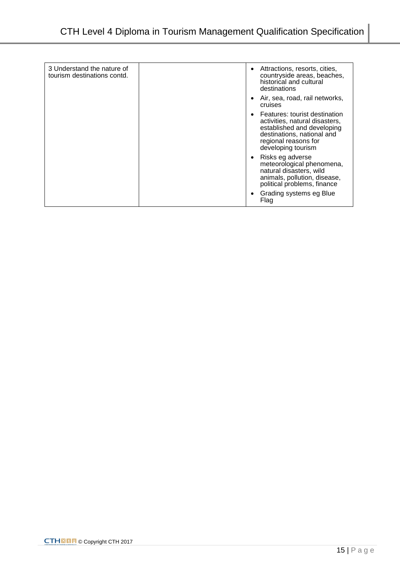| 3 Understand the nature of<br>tourism destinations contd. | $\bullet$ | Attractions, resorts, cities,<br>countryside areas, beaches,<br>historical and cultural<br>destinations                                                                   |
|-----------------------------------------------------------|-----------|---------------------------------------------------------------------------------------------------------------------------------------------------------------------------|
|                                                           | $\bullet$ | Air, sea, road, rail networks,<br>cruises                                                                                                                                 |
|                                                           | $\bullet$ | Features: tourist destination<br>activities, natural disasters,<br>established and developing<br>destinations, national and<br>regional reasons for<br>developing tourism |
|                                                           | $\bullet$ | Risks eg adverse<br>meteorological phenomena,<br>natural disasters, wild<br>animals, pollution, disease,<br>political problems, finance                                   |
|                                                           | $\bullet$ | Grading systems eg Blue<br>Flag                                                                                                                                           |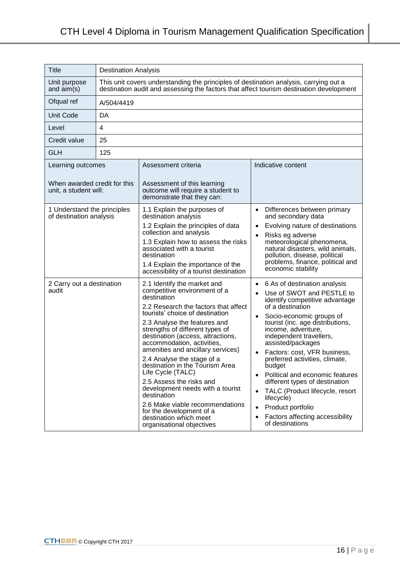| <b>Title</b>                                                                                 | <b>Destination Analysis</b>                                                                                                                                                      |                                                                                                                                                                                                                                                                                                                                                                                                                                                                                                                                                                                                                                                                                                                                                                                                                                                                                                                       |                                                                                                                                                                                                                                                                                                                                                                                                                                                                                                                                                                                                                                                                                                                                                                                                                                                                                                                                 |
|----------------------------------------------------------------------------------------------|----------------------------------------------------------------------------------------------------------------------------------------------------------------------------------|-----------------------------------------------------------------------------------------------------------------------------------------------------------------------------------------------------------------------------------------------------------------------------------------------------------------------------------------------------------------------------------------------------------------------------------------------------------------------------------------------------------------------------------------------------------------------------------------------------------------------------------------------------------------------------------------------------------------------------------------------------------------------------------------------------------------------------------------------------------------------------------------------------------------------|---------------------------------------------------------------------------------------------------------------------------------------------------------------------------------------------------------------------------------------------------------------------------------------------------------------------------------------------------------------------------------------------------------------------------------------------------------------------------------------------------------------------------------------------------------------------------------------------------------------------------------------------------------------------------------------------------------------------------------------------------------------------------------------------------------------------------------------------------------------------------------------------------------------------------------|
| Unit purpose<br>and $aim(s)$                                                                 | This unit covers understanding the principles of destination analysis, carrying out a<br>destination audit and assessing the factors that affect tourism destination development |                                                                                                                                                                                                                                                                                                                                                                                                                                                                                                                                                                                                                                                                                                                                                                                                                                                                                                                       |                                                                                                                                                                                                                                                                                                                                                                                                                                                                                                                                                                                                                                                                                                                                                                                                                                                                                                                                 |
| Ofqual ref                                                                                   | A/504/4419                                                                                                                                                                       |                                                                                                                                                                                                                                                                                                                                                                                                                                                                                                                                                                                                                                                                                                                                                                                                                                                                                                                       |                                                                                                                                                                                                                                                                                                                                                                                                                                                                                                                                                                                                                                                                                                                                                                                                                                                                                                                                 |
| <b>Unit Code</b>                                                                             | DA                                                                                                                                                                               |                                                                                                                                                                                                                                                                                                                                                                                                                                                                                                                                                                                                                                                                                                                                                                                                                                                                                                                       |                                                                                                                                                                                                                                                                                                                                                                                                                                                                                                                                                                                                                                                                                                                                                                                                                                                                                                                                 |
| Level                                                                                        | 4                                                                                                                                                                                |                                                                                                                                                                                                                                                                                                                                                                                                                                                                                                                                                                                                                                                                                                                                                                                                                                                                                                                       |                                                                                                                                                                                                                                                                                                                                                                                                                                                                                                                                                                                                                                                                                                                                                                                                                                                                                                                                 |
| Credit value                                                                                 | 25                                                                                                                                                                               |                                                                                                                                                                                                                                                                                                                                                                                                                                                                                                                                                                                                                                                                                                                                                                                                                                                                                                                       |                                                                                                                                                                                                                                                                                                                                                                                                                                                                                                                                                                                                                                                                                                                                                                                                                                                                                                                                 |
| <b>GLH</b>                                                                                   | 125                                                                                                                                                                              |                                                                                                                                                                                                                                                                                                                                                                                                                                                                                                                                                                                                                                                                                                                                                                                                                                                                                                                       |                                                                                                                                                                                                                                                                                                                                                                                                                                                                                                                                                                                                                                                                                                                                                                                                                                                                                                                                 |
| Learning outcomes                                                                            |                                                                                                                                                                                  | Assessment criteria                                                                                                                                                                                                                                                                                                                                                                                                                                                                                                                                                                                                                                                                                                                                                                                                                                                                                                   | Indicative content                                                                                                                                                                                                                                                                                                                                                                                                                                                                                                                                                                                                                                                                                                                                                                                                                                                                                                              |
| When awarded credit for this<br>unit, a student will:                                        |                                                                                                                                                                                  | Assessment of this learning<br>outcome will require a student to<br>demonstrate that they can:                                                                                                                                                                                                                                                                                                                                                                                                                                                                                                                                                                                                                                                                                                                                                                                                                        |                                                                                                                                                                                                                                                                                                                                                                                                                                                                                                                                                                                                                                                                                                                                                                                                                                                                                                                                 |
| 1 Understand the principles<br>of destination analysis<br>2 Carry out a destination<br>audit |                                                                                                                                                                                  | 1.1 Explain the purposes of<br>destination analysis<br>1.2 Explain the principles of data<br>collection and analysis<br>1.3 Explain how to assess the risks<br>associated with a tourist<br>destination<br>1.4 Explain the importance of the<br>accessibility of a tourist destination<br>2.1 Identify the market and<br>competitive environment of a<br>destination<br>2.2 Research the factors that affect<br>tourists' choice of destination<br>2.3 Analyse the features and<br>strengths of different types of<br>destination (access, attractions,<br>accommodation, activities,<br>amenities and ancillary services)<br>2.4 Analyse the stage of a<br>destination in the Tourism Area<br>Life Cycle (TALC)<br>2.5 Assess the risks and<br>development needs with a tourist<br>destination<br>2.6 Make viable recommendations<br>for the development of a<br>destination which meet<br>organisational objectives | Differences between primary<br>$\bullet$<br>and secondary data<br>Evolving nature of destinations<br>$\bullet$<br>Risks eg adverse<br>$\bullet$<br>meteorological phenomena,<br>natural disasters, wild animals,<br>pollution, disease, political<br>problems, finance, political and<br>economic stability<br>6 As of destination analysis<br>$\bullet$<br>Use of SWOT and PESTLE to<br>identify competitive advantage<br>of a destination<br>Socio-economic groups of<br>$\bullet$<br>tourist (inc. age distributions,<br>income, adventure,<br>independent travellers,<br>assisted/packages<br>Factors: cost, VFR business,<br>preferred activities, climate,<br>budget<br>Political and economic features<br>$\bullet$<br>different types of destination<br>TALC (Product lifecycle, resort<br>$\bullet$<br>lifecycle)<br>Product portfolio<br>$\bullet$<br>Factors affecting accessibility<br>$\bullet$<br>of destinations |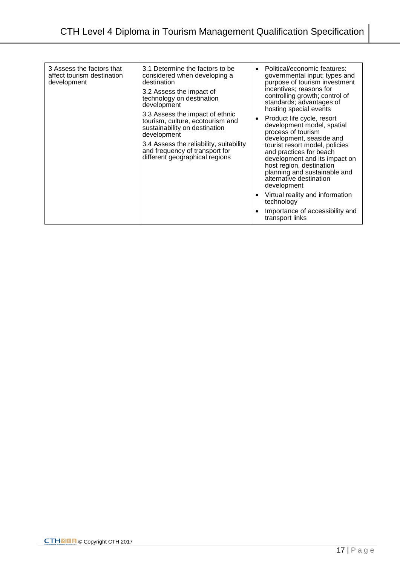| 3 Assess the factors that<br>affect tourism destination<br>development | 3.1 Determine the factors to be<br>considered when developing a<br>destination<br>3.2 Assess the impact of<br>technology on destination<br>development<br>3.3 Assess the impact of ethnic<br>tourism, culture, ecotourism and<br>sustainability on destination<br>development<br>3.4 Assess the reliability, suitability<br>and frequency of transport for<br>different geographical regions | Political/economic features:<br>governmental input; types and<br>purpose of tourism investment<br>incentives; reasons for<br>controlling growth; control of<br>standards; advantages of<br>hosting special events<br>Product life cycle, resort<br>$\bullet$<br>development model, spatial<br>process of tourism<br>development, seaside and<br>tourist resort model, policies<br>and practices for beach<br>development and its impact on<br>host region, destination<br>planning and sustainable and<br>alternative destination<br>development<br>Virtual reality and information<br>technology<br>Importance of accessibility and<br>transport links |
|------------------------------------------------------------------------|----------------------------------------------------------------------------------------------------------------------------------------------------------------------------------------------------------------------------------------------------------------------------------------------------------------------------------------------------------------------------------------------|---------------------------------------------------------------------------------------------------------------------------------------------------------------------------------------------------------------------------------------------------------------------------------------------------------------------------------------------------------------------------------------------------------------------------------------------------------------------------------------------------------------------------------------------------------------------------------------------------------------------------------------------------------|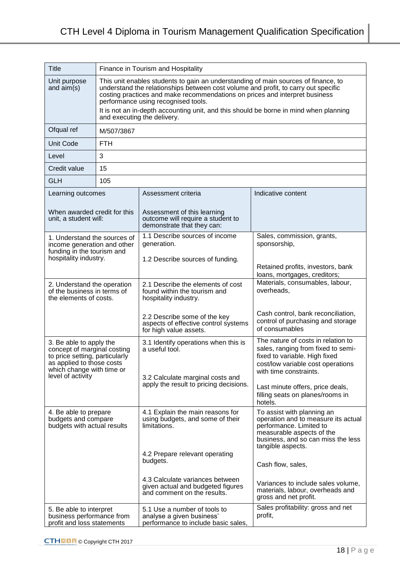| <b>Title</b>                                                                                                                                                            | Finance in Tourism and Hospitality                                                                                                                                                                                                                                                             |                                                                                                     |                                                                                                                                                                                      |
|-------------------------------------------------------------------------------------------------------------------------------------------------------------------------|------------------------------------------------------------------------------------------------------------------------------------------------------------------------------------------------------------------------------------------------------------------------------------------------|-----------------------------------------------------------------------------------------------------|--------------------------------------------------------------------------------------------------------------------------------------------------------------------------------------|
| Unit purpose<br>and $aim(s)$                                                                                                                                            | This unit enables students to gain an understanding of main sources of finance, to<br>understand the relationships between cost volume and profit, to carry out specific<br>costing practices and make recommendations on prices and interpret business<br>performance using recognised tools. |                                                                                                     |                                                                                                                                                                                      |
|                                                                                                                                                                         | It is not an in-depth accounting unit, and this should be borne in mind when planning<br>and executing the delivery.                                                                                                                                                                           |                                                                                                     |                                                                                                                                                                                      |
| Ofqual ref                                                                                                                                                              | M/507/3867                                                                                                                                                                                                                                                                                     |                                                                                                     |                                                                                                                                                                                      |
| <b>Unit Code</b>                                                                                                                                                        | <b>FTH</b>                                                                                                                                                                                                                                                                                     |                                                                                                     |                                                                                                                                                                                      |
| Level                                                                                                                                                                   | 3                                                                                                                                                                                                                                                                                              |                                                                                                     |                                                                                                                                                                                      |
| Credit value                                                                                                                                                            | 15                                                                                                                                                                                                                                                                                             |                                                                                                     |                                                                                                                                                                                      |
| <b>GLH</b>                                                                                                                                                              | 105                                                                                                                                                                                                                                                                                            |                                                                                                     |                                                                                                                                                                                      |
| Learning outcomes                                                                                                                                                       |                                                                                                                                                                                                                                                                                                | Assessment criteria                                                                                 | Indicative content                                                                                                                                                                   |
| When awarded credit for this<br>unit, a student will:                                                                                                                   |                                                                                                                                                                                                                                                                                                | Assessment of this learning<br>outcome will require a student to<br>demonstrate that they can:      |                                                                                                                                                                                      |
| 1. Understand the sources of<br>income generation and other<br>funding in the tourism and                                                                               |                                                                                                                                                                                                                                                                                                | 1.1 Describe sources of income<br>generation.                                                       | Sales, commission, grants,<br>sponsorship,                                                                                                                                           |
| hospitality industry.                                                                                                                                                   |                                                                                                                                                                                                                                                                                                | 1.2 Describe sources of funding.                                                                    | Retained profits, investors, bank<br>loans, mortgages, creditors;                                                                                                                    |
| 2. Understand the operation<br>of the business in terms of<br>the elements of costs.                                                                                    |                                                                                                                                                                                                                                                                                                | 2.1 Describe the elements of cost<br>found within the tourism and<br>hospitality industry.          | Materials, consumables, labour,<br>overheads,                                                                                                                                        |
|                                                                                                                                                                         |                                                                                                                                                                                                                                                                                                | 2.2 Describe some of the key<br>aspects of effective control systems<br>for high value assets.      | Cash control, bank reconciliation,<br>control of purchasing and storage<br>of consumables                                                                                            |
| 3. Be able to apply the<br>concept of marginal costing<br>to price setting, particularly<br>as applied to those costs<br>which change with time or<br>level of activity |                                                                                                                                                                                                                                                                                                | 3.1 Identify operations when this is<br>a useful tool.<br>3.2 Calculate marginal costs and          | The nature of costs in relation to<br>sales, ranging from fixed to semi-<br>fixed to variable. High fixed<br>cost/low variable cost operations<br>with time constraints.             |
|                                                                                                                                                                         |                                                                                                                                                                                                                                                                                                | apply the result to pricing decisions.                                                              | Last minute offers, price deals,<br>filling seats on planes/rooms in<br>hotels.                                                                                                      |
| 4. Be able to prepare<br>budgets and compare<br>budgets with actual results                                                                                             |                                                                                                                                                                                                                                                                                                | 4.1 Explain the main reasons for<br>using budgets, and some of their<br>limitations.                | To assist with planning an<br>operation and to measure its actual<br>performance. Limited to<br>measurable aspects of the<br>business, and so can miss the less<br>tangible aspects. |
|                                                                                                                                                                         |                                                                                                                                                                                                                                                                                                | 4.2 Prepare relevant operating<br>budgets.                                                          | Cash flow, sales,                                                                                                                                                                    |
|                                                                                                                                                                         |                                                                                                                                                                                                                                                                                                | 4.3 Calculate variances between<br>given actual and budgeted figures<br>and comment on the results. | Variances to include sales volume,<br>materials, labour, overheads and<br>gross and net profit.                                                                                      |
| 5. Be able to interpret<br>business performance from<br>profit and loss statements                                                                                      |                                                                                                                                                                                                                                                                                                | 5.1 Use a number of tools to<br>analyse a given business'<br>performance to include basic sales,    | Sales profitability: gross and net<br>profit,                                                                                                                                        |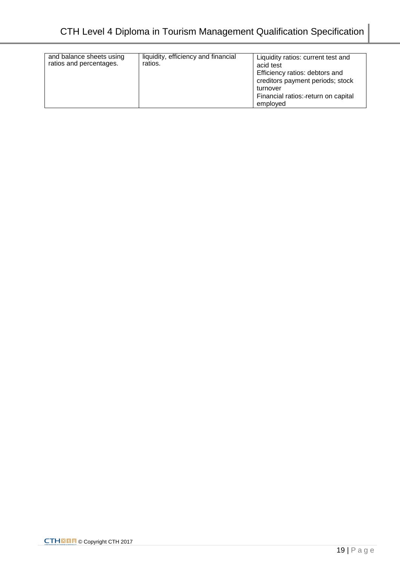| and balance sheets using<br>ratios and percentages. | liquidity, efficiency and financial<br>ratios. | Liquidity ratios: current test and<br>acid test<br>Efficiency ratios: debtors and<br>creditors payment periods; stock<br>turnover<br>Financial ratios:-return on capital<br>employed |
|-----------------------------------------------------|------------------------------------------------|--------------------------------------------------------------------------------------------------------------------------------------------------------------------------------------|
|-----------------------------------------------------|------------------------------------------------|--------------------------------------------------------------------------------------------------------------------------------------------------------------------------------------|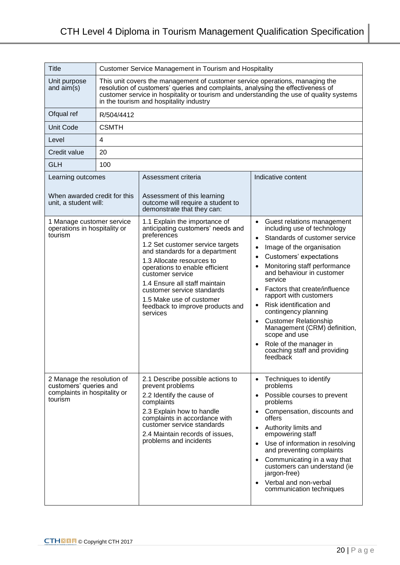| Title                                                                                           | <b>Customer Service Management in Tourism and Hospitality</b>                                                                                                                                                                                                                                         |                                                                                                                                                                                                                                                                                                                                                                                       |                                                                                                                                                                                                                                                                                                                                                                                                                                                                                                                                                                  |
|-------------------------------------------------------------------------------------------------|-------------------------------------------------------------------------------------------------------------------------------------------------------------------------------------------------------------------------------------------------------------------------------------------------------|---------------------------------------------------------------------------------------------------------------------------------------------------------------------------------------------------------------------------------------------------------------------------------------------------------------------------------------------------------------------------------------|------------------------------------------------------------------------------------------------------------------------------------------------------------------------------------------------------------------------------------------------------------------------------------------------------------------------------------------------------------------------------------------------------------------------------------------------------------------------------------------------------------------------------------------------------------------|
| Unit purpose<br>and $aim(s)$                                                                    | This unit covers the management of customer service operations, managing the<br>resolution of customers' queries and complaints, analysing the effectiveness of<br>customer service in hospitality or tourism and understanding the use of quality systems<br>in the tourism and hospitality industry |                                                                                                                                                                                                                                                                                                                                                                                       |                                                                                                                                                                                                                                                                                                                                                                                                                                                                                                                                                                  |
| Ofqual ref                                                                                      | R/504/4412                                                                                                                                                                                                                                                                                            |                                                                                                                                                                                                                                                                                                                                                                                       |                                                                                                                                                                                                                                                                                                                                                                                                                                                                                                                                                                  |
| <b>Unit Code</b>                                                                                | <b>CSMTH</b>                                                                                                                                                                                                                                                                                          |                                                                                                                                                                                                                                                                                                                                                                                       |                                                                                                                                                                                                                                                                                                                                                                                                                                                                                                                                                                  |
| Level                                                                                           | 4                                                                                                                                                                                                                                                                                                     |                                                                                                                                                                                                                                                                                                                                                                                       |                                                                                                                                                                                                                                                                                                                                                                                                                                                                                                                                                                  |
| Credit value                                                                                    | 20                                                                                                                                                                                                                                                                                                    |                                                                                                                                                                                                                                                                                                                                                                                       |                                                                                                                                                                                                                                                                                                                                                                                                                                                                                                                                                                  |
| <b>GLH</b>                                                                                      | 100                                                                                                                                                                                                                                                                                                   |                                                                                                                                                                                                                                                                                                                                                                                       |                                                                                                                                                                                                                                                                                                                                                                                                                                                                                                                                                                  |
| Learning outcomes<br>When awarded credit for this<br>unit, a student will:                      |                                                                                                                                                                                                                                                                                                       | Assessment criteria<br>Assessment of this learning<br>outcome will require a student to<br>demonstrate that they can:                                                                                                                                                                                                                                                                 | Indicative content                                                                                                                                                                                                                                                                                                                                                                                                                                                                                                                                               |
| 1 Manage customer service<br>operations in hospitality or<br>tourism                            |                                                                                                                                                                                                                                                                                                       | 1.1 Explain the importance of<br>anticipating customers' needs and<br>preferences<br>1.2 Set customer service targets<br>and standards for a department<br>1.3 Allocate resources to<br>operations to enable efficient<br>customer service<br>1.4 Ensure all staff maintain<br>customer service standards<br>1.5 Make use of customer<br>feedback to improve products and<br>services | Guest relations management<br>including use of technology<br>Standards of customer service<br>$\bullet$<br>Image of the organisation<br>Customers' expectations<br>$\bullet$<br>Monitoring staff performance<br>and behaviour in customer<br>service<br>Factors that create/influence<br>$\bullet$<br>rapport with customers<br>Risk identification and<br>$\bullet$<br>contingency planning<br><b>Customer Relationship</b><br>$\bullet$<br>Management (CRM) definition,<br>scope and use<br>Role of the manager in<br>coaching staff and providing<br>feedback |
| 2 Manage the resolution of<br>customers' queries and<br>complaints in hospitality or<br>tourism |                                                                                                                                                                                                                                                                                                       | 2.1 Describe possible actions to<br>prevent problems<br>2.2 Identify the cause of<br>complaints<br>2.3 Explain how to handle<br>complaints in accordance with<br>customer service standards<br>2.4 Maintain records of issues,<br>problems and incidents                                                                                                                              | Techniques to identify<br>$\bullet$<br>problems<br>Possible courses to prevent<br>problems<br>Compensation, discounts and<br>offers<br>Authority limits and<br>empowering staff<br>Use of information in resolving<br>$\bullet$<br>and preventing complaints<br>Communicating in a way that<br>customers can understand (ie<br>jargon-free)<br>Verbal and non-verbal<br>$\bullet$<br>communication techniques                                                                                                                                                    |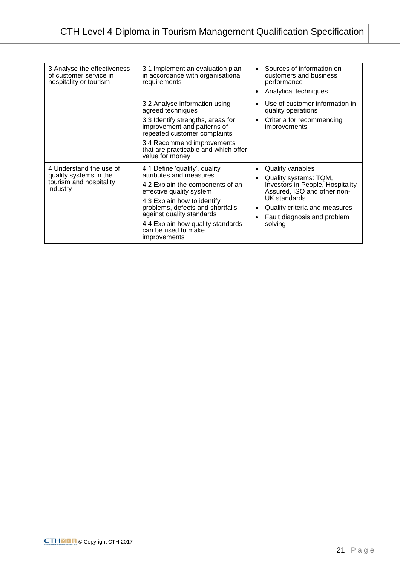| 3 Analyse the effectiveness<br>of customer service in<br>hospitality or tourism          | 3.1 Implement an evaluation plan<br>in accordance with organisational<br>requirements                                                                                                                                                                                                                | Sources of information on<br>$\bullet$<br>customers and business<br>performance<br>Analytical techniques                                                                                                 |
|------------------------------------------------------------------------------------------|------------------------------------------------------------------------------------------------------------------------------------------------------------------------------------------------------------------------------------------------------------------------------------------------------|----------------------------------------------------------------------------------------------------------------------------------------------------------------------------------------------------------|
|                                                                                          | 3.2 Analyse information using<br>agreed techniques<br>3.3 Identify strengths, areas for<br>improvement and patterns of<br>repeated customer complaints<br>3.4 Recommend improvements<br>that are practicable and which offer<br>value for money                                                      | Use of customer information in<br>quality operations<br>Criteria for recommending<br>$\bullet$<br>improvements                                                                                           |
| 4 Understand the use of<br>quality systems in the<br>tourism and hospitality<br>industry | 4.1 Define 'quality', quality<br>attributes and measures<br>4.2 Explain the components of an<br>effective quality system<br>4.3 Explain how to identify<br>problems, defects and shortfalls<br>against quality standards<br>4.4 Explain how quality standards<br>can be used to make<br>improvements | Quality variables<br>Quality systems: TQM,<br>Investors in People, Hospitality<br>Assured, ISO and other non-<br>UK standards<br>Quality criteria and measures<br>Fault diagnosis and problem<br>solving |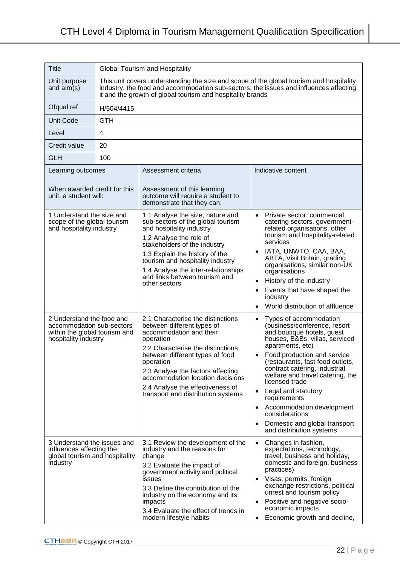| <b>Title</b>                                                                                                    | <b>Global Tourism and Hospitality</b>                                                                                                                                                                                                          |                                                                                                                                                                                                                                                                                                                                                 |                                                                                                                                                                                                                                                                                                                                                                                                                                                                       |
|-----------------------------------------------------------------------------------------------------------------|------------------------------------------------------------------------------------------------------------------------------------------------------------------------------------------------------------------------------------------------|-------------------------------------------------------------------------------------------------------------------------------------------------------------------------------------------------------------------------------------------------------------------------------------------------------------------------------------------------|-----------------------------------------------------------------------------------------------------------------------------------------------------------------------------------------------------------------------------------------------------------------------------------------------------------------------------------------------------------------------------------------------------------------------------------------------------------------------|
| Unit purpose<br>and $aim(s)$                                                                                    | This unit covers understanding the size and scope of the global tourism and hospitality<br>industry, the food and accommodation sub-sectors, the issues and influences affecting<br>it and the growth of global tourism and hospitality brands |                                                                                                                                                                                                                                                                                                                                                 |                                                                                                                                                                                                                                                                                                                                                                                                                                                                       |
| Ofqual ref                                                                                                      | H/504/4415                                                                                                                                                                                                                                     |                                                                                                                                                                                                                                                                                                                                                 |                                                                                                                                                                                                                                                                                                                                                                                                                                                                       |
| <b>Unit Code</b>                                                                                                | <b>GTH</b>                                                                                                                                                                                                                                     |                                                                                                                                                                                                                                                                                                                                                 |                                                                                                                                                                                                                                                                                                                                                                                                                                                                       |
| Level                                                                                                           | 4                                                                                                                                                                                                                                              |                                                                                                                                                                                                                                                                                                                                                 |                                                                                                                                                                                                                                                                                                                                                                                                                                                                       |
| Credit value                                                                                                    | 20                                                                                                                                                                                                                                             |                                                                                                                                                                                                                                                                                                                                                 |                                                                                                                                                                                                                                                                                                                                                                                                                                                                       |
| <b>GLH</b>                                                                                                      | 100                                                                                                                                                                                                                                            |                                                                                                                                                                                                                                                                                                                                                 |                                                                                                                                                                                                                                                                                                                                                                                                                                                                       |
| Learning outcomes                                                                                               |                                                                                                                                                                                                                                                | Assessment criteria                                                                                                                                                                                                                                                                                                                             | Indicative content                                                                                                                                                                                                                                                                                                                                                                                                                                                    |
| When awarded credit for this<br>unit, a student will:                                                           |                                                                                                                                                                                                                                                | Assessment of this learning<br>outcome will require a student to<br>demonstrate that they can:                                                                                                                                                                                                                                                  |                                                                                                                                                                                                                                                                                                                                                                                                                                                                       |
| 1 Understand the size and<br>scope of the global tourism<br>and hospitality industry                            |                                                                                                                                                                                                                                                | 1.1 Analyse the size, nature and<br>sub-sectors of the global tourism<br>and hospitality industry<br>1.2 Analyse the role of<br>stakeholders of the industry<br>1.3 Explain the history of the<br>tourism and hospitality industry<br>1.4 Analyse the inter-relationships<br>and links between tourism and<br>other sectors                     | Private sector, commercial,<br>$\bullet$<br>catering sectors, government-<br>related organisations, other<br>tourism and hospitality-related<br>services<br>IATA, UNWTO, CAA, BAA,<br>ABTA, Visit Britain, grading<br>organisations, similar non-UK<br>organisations<br>History of the industry<br>$\bullet$<br>Events that have shaped the<br>industry<br>World distribution of affluence                                                                            |
| 2 Understand the food and<br>accommodation sub-sectors<br>within the global tourism and<br>hospitality industry |                                                                                                                                                                                                                                                | 2.1 Characterise the distinctions<br>between different types of<br>accommodation and their<br>operation<br>2.2 Characterise the distinctions<br>between different types of food<br>operation<br>2.3 Analyse the factors affecting<br>accommodation location decisions<br>2.4 Analyse the effectiveness of<br>transport and distribution systems | Types of accommodation<br>(business/conference, resort<br>and boutique hotels, guest<br>houses, B&Bs, villas, serviced<br>apartments, etc)<br>Food production and service<br>(restaurants, fast food outlets,<br>contract catering, industrial,<br>welfare and travel catering, the<br>licensed trade<br>Legal and statutory<br>$\bullet$<br>requirements<br>Accommodation development<br>considerations<br>Domestic and global transport<br>and distribution systems |
| 3 Understand the issues and<br>influences affecting the<br>global tourism and hospitality<br>industry           |                                                                                                                                                                                                                                                | 3.1 Review the development of the<br>industry and the reasons for<br>change<br>3.2 Evaluate the impact of<br>government activity and political<br>issues<br>3.3 Define the contribution of the<br>industry on the economy and its<br>impacts<br>3.4 Evaluate the effect of trends in<br>modern lifestyle habits                                 | Changes in fashion,<br>$\bullet$<br>expectations, technology,<br>travel, business and holiday,<br>domestic and foreign, business<br>practices)<br>Visas, permits, foreign<br>$\bullet$<br>exchange restrictions, political<br>unrest and tourism policy<br>Positive and negative socio-<br>$\bullet$<br>economic impacts<br>Economic growth and decline,<br>$\bullet$                                                                                                 |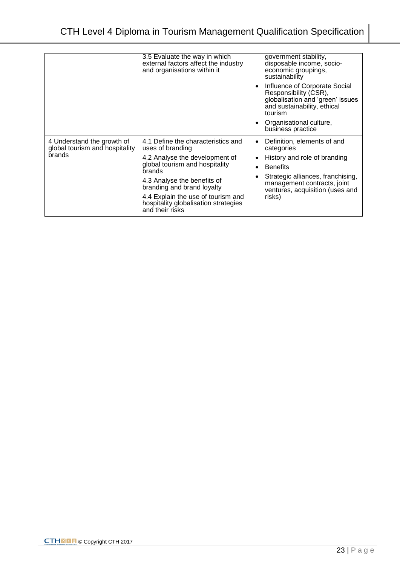|                                                                        | 3.5 Evaluate the way in which<br>external factors affect the industry<br>and organisations within it                                                                                                                                                                                               | government stability,<br>disposable income, socio-<br>economic groupings,<br>sustainability<br>Influence of Corporate Social<br>Responsibility (CSR),<br>globalisation and 'green' issues<br>and sustainability, ethical<br>tourism<br>Organisational culture, |
|------------------------------------------------------------------------|----------------------------------------------------------------------------------------------------------------------------------------------------------------------------------------------------------------------------------------------------------------------------------------------------|----------------------------------------------------------------------------------------------------------------------------------------------------------------------------------------------------------------------------------------------------------------|
|                                                                        |                                                                                                                                                                                                                                                                                                    | business practice                                                                                                                                                                                                                                              |
| 4 Understand the growth of<br>global tourism and hospitality<br>brands | 4.1 Define the characteristics and<br>uses of branding<br>4.2 Analyse the development of<br>global tourism and hospitality<br>brands<br>4.3 Analyse the benefits of<br>branding and brand loyalty<br>4.4 Explain the use of tourism and<br>hospitality globalisation strategies<br>and their risks | Definition, elements of and<br>categories<br>History and role of branding<br><b>Benefits</b><br>Strategic alliances, franchising,<br>management contracts, joint<br>ventures, acquisition (uses and<br>risks)                                                  |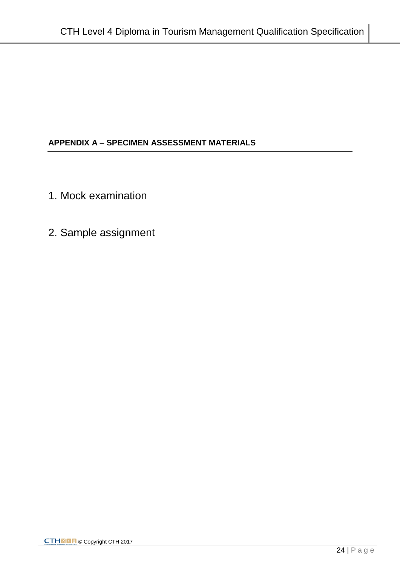# **APPENDIX A – SPECIMEN ASSESSMENT MATERIALS**

- 1. Mock examination
- 2. Sample assignment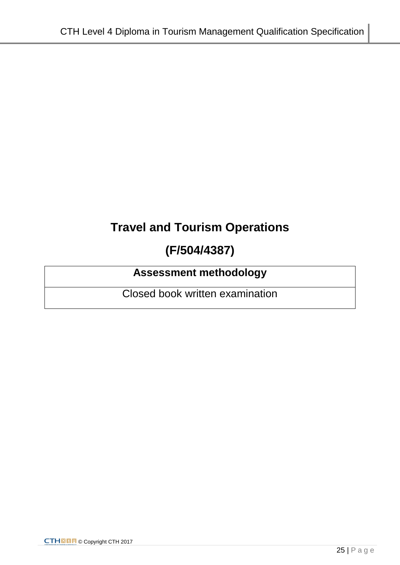# **Travel and Tourism Operations**

# **(F/504/4387)**

# **Assessment methodology**

Closed book written examination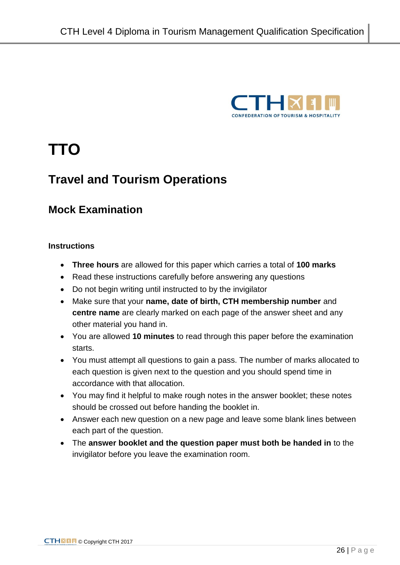

# **TTO**

# **Travel and Tourism Operations**

# **Mock Examination**

### **Instructions**

- **Three hours** are allowed for this paper which carries a total of **100 marks**
- Read these instructions carefully before answering any questions
- Do not begin writing until instructed to by the invigilator
- Make sure that your **name, date of birth, CTH membership number** and **centre name** are clearly marked on each page of the answer sheet and any other material you hand in.
- You are allowed **10 minutes** to read through this paper before the examination starts.
- You must attempt all questions to gain a pass. The number of marks allocated to each question is given next to the question and you should spend time in accordance with that allocation.
- You may find it helpful to make rough notes in the answer booklet; these notes should be crossed out before handing the booklet in.
- Answer each new question on a new page and leave some blank lines between each part of the question.
- The **answer booklet and the question paper must both be handed in** to the invigilator before you leave the examination room.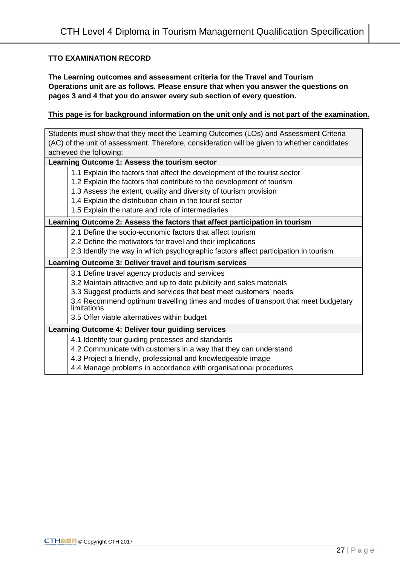#### **TTO EXAMINATION RECORD**

**The Learning outcomes and assessment criteria for the Travel and Tourism Operations unit are as follows. Please ensure that when you answer the questions on pages 3 and 4 that you do answer every sub section of every question.** 

#### **This page is for background information on the unit only and is not part of the examination.**

Students must show that they meet the Learning Outcomes (LOs) and Assessment Criteria (AC) of the unit of assessment. Therefore, consideration will be given to whether candidates achieved the following: **Learning Outcome 1: Assess the tourism sector** 1.1 Explain the factors that affect the development of the tourist sector 1.2 Explain the factors that contribute to the development of tourism 1.3 Assess the extent, quality and diversity of tourism provision 1.4 Explain the distribution chain in the tourist sector 1.5 Explain the nature and role of intermediaries **Learning Outcome 2: Assess the factors that affect participation in tourism** 2.1 Define the socio-economic factors that affect tourism 2.2 Define the motivators for travel and their implications 2.3 Identify the way in which psychographic factors affect participation in tourism **Learning Outcome 3: Deliver travel and tourism services** 3.1 Define travel agency products and services 3.2 Maintain attractive and up to date publicity and sales materials 3.3 Suggest products and services that best meet customers' needs 3.4 Recommend optimum travelling times and modes of transport that meet budgetary limitations 3.5 Offer viable alternatives within budget **Learning Outcome 4: Deliver tour guiding services** 4.1 Identify tour guiding processes and standards 4.2 Communicate with customers in a way that they can understand 4.3 Project a friendly, professional and knowledgeable image 4.4 Manage problems in accordance with organisational procedures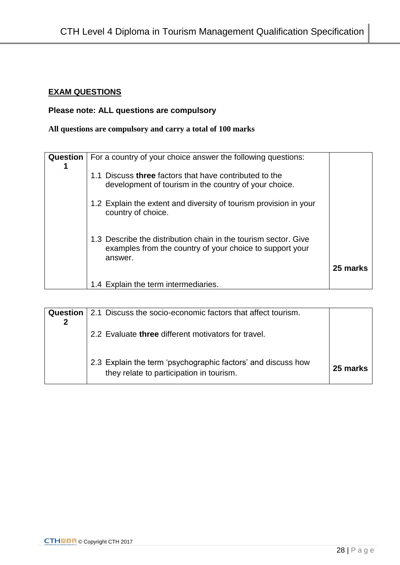# **EXAM QUESTIONS**

# **Please note: ALL questions are compulsory**

# **All questions are compulsory and carry a total of 100 marks**

| <b>Question</b> | For a country of your choice answer the following questions:                                                                           |          |
|-----------------|----------------------------------------------------------------------------------------------------------------------------------------|----------|
|                 | 1.1 Discuss three factors that have contributed to the<br>development of tourism in the country of your choice.                        |          |
|                 | 1.2 Explain the extent and diversity of tourism provision in your<br>country of choice.                                                |          |
|                 | 1.3 Describe the distribution chain in the tourism sector. Give<br>examples from the country of your choice to support your<br>answer. |          |
|                 |                                                                                                                                        | 25 marks |
|                 | 1.4 Explain the term intermediaries.                                                                                                   |          |

| Question | 2.1 Discuss the socio-economic factors that affect tourism.                                              |          |
|----------|----------------------------------------------------------------------------------------------------------|----------|
|          | 2.2 Evaluate three different motivators for travel.                                                      |          |
|          | 2.3 Explain the term 'psychographic factors' and discuss how<br>they relate to participation in tourism. | 25 marks |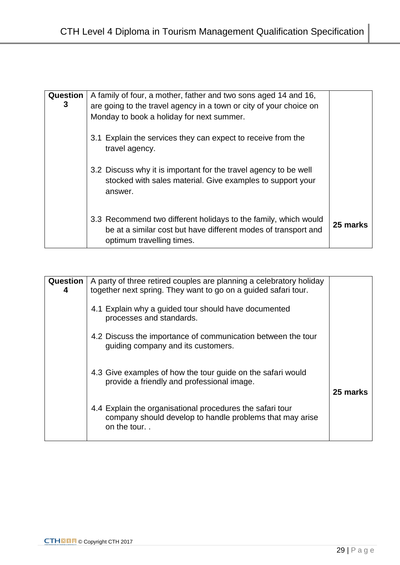| Question<br>3 | A family of four, a mother, father and two sons aged 14 and 16,<br>are going to the travel agency in a town or city of your choice on<br>Monday to book a holiday for next summer. |          |
|---------------|------------------------------------------------------------------------------------------------------------------------------------------------------------------------------------|----------|
|               | 3.1 Explain the services they can expect to receive from the<br>travel agency.                                                                                                     |          |
|               | 3.2 Discuss why it is important for the travel agency to be well<br>stocked with sales material. Give examples to support your<br>answer.                                          |          |
|               | 3.3 Recommend two different holidays to the family, which would<br>be at a similar cost but have different modes of transport and<br>optimum travelling times.                     | 25 marks |

| Question<br>4 | A party of three retired couples are planning a celebratory holiday<br>together next spring. They want to go on a guided safari tour. |          |
|---------------|---------------------------------------------------------------------------------------------------------------------------------------|----------|
|               | 4.1 Explain why a guided tour should have documented<br>processes and standards.                                                      |          |
|               | 4.2 Discuss the importance of communication between the tour<br>guiding company and its customers.                                    |          |
|               | 4.3 Give examples of how the tour guide on the safari would<br>provide a friendly and professional image.                             | 25 marks |
|               | 4.4 Explain the organisational procedures the safari tour<br>company should develop to handle problems that may arise<br>on the tour  |          |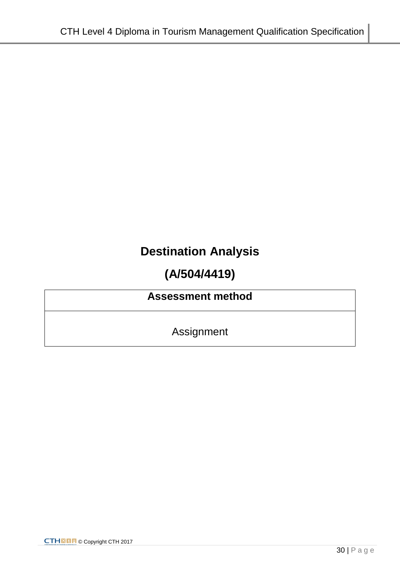# **Destination Analysis**

# **(A/504/4419)**

# **Assessment method**

Assignment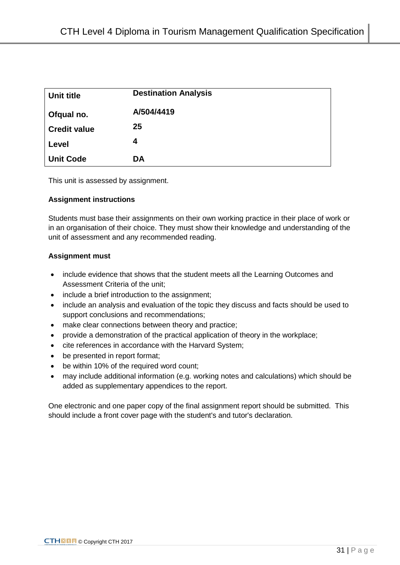| Unit title          | <b>Destination Analysis</b> |
|---------------------|-----------------------------|
| Ofqual no.          | A/504/4419                  |
| <b>Credit value</b> | 25                          |
| Level               | 4                           |
| <b>Unit Code</b>    | <b>DA</b>                   |

This unit is assessed by assignment.

#### **Assignment instructions**

Students must base their assignments on their own working practice in their place of work or in an organisation of their choice. They must show their knowledge and understanding of the unit of assessment and any recommended reading.

#### **Assignment must**

- include evidence that shows that the student meets all the Learning Outcomes and Assessment Criteria of the unit;
- include a brief introduction to the assignment;
- include an analysis and evaluation of the topic they discuss and facts should be used to support conclusions and recommendations;
- make clear connections between theory and practice;
- provide a demonstration of the practical application of theory in the workplace;
- cite references in accordance with the Harvard System;
- be presented in report format;
- be within 10% of the required word count;
- may include additional information (e.g. working notes and calculations) which should be added as supplementary appendices to the report.

One electronic and one paper copy of the final assignment report should be submitted. This should include a front cover page with the student's and tutor's declaration.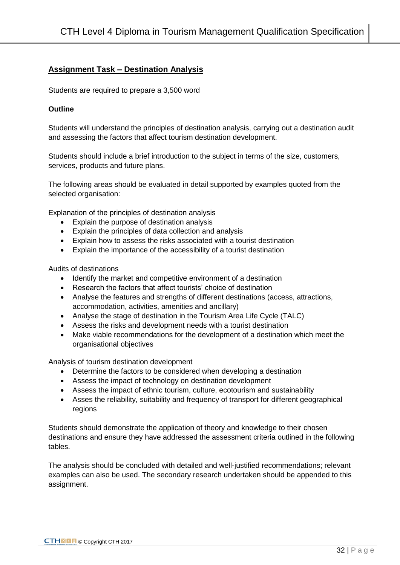## **Assignment Task – Destination Analysis**

Students are required to prepare a 3,500 word

#### **Outline**

Students will understand the principles of destination analysis, carrying out a destination audit and assessing the factors that affect tourism destination development.

Students should include a brief introduction to the subject in terms of the size, customers, services, products and future plans.

The following areas should be evaluated in detail supported by examples quoted from the selected organisation:

Explanation of the principles of destination analysis

- Explain the purpose of destination analysis
- Explain the principles of data collection and analysis
- Explain how to assess the risks associated with a tourist destination
- Explain the importance of the accessibility of a tourist destination

Audits of destinations

- Identify the market and competitive environment of a destination
- Research the factors that affect tourists' choice of destination
- Analyse the features and strengths of different destinations (access, attractions, accommodation, activities, amenities and ancillary)
- Analyse the stage of destination in the Tourism Area Life Cycle (TALC)
- Assess the risks and development needs with a tourist destination
- Make viable recommendations for the development of a destination which meet the organisational objectives

Analysis of tourism destination development

- Determine the factors to be considered when developing a destination
- Assess the impact of technology on destination development
- Assess the impact of ethnic tourism, culture, ecotourism and sustainability
- Asses the reliability, suitability and frequency of transport for different geographical regions

Students should demonstrate the application of theory and knowledge to their chosen destinations and ensure they have addressed the assessment criteria outlined in the following tables.

The analysis should be concluded with detailed and well-justified recommendations; relevant examples can also be used. The secondary research undertaken should be appended to this assignment.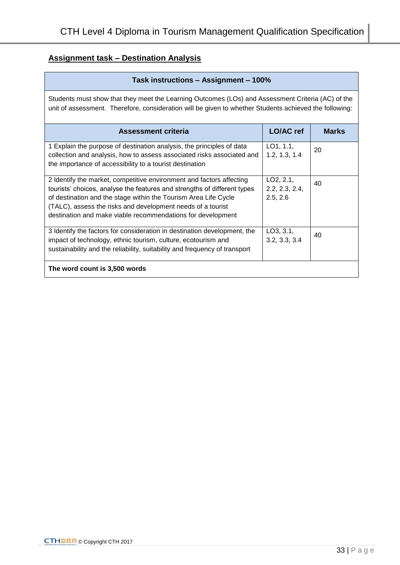# **Assignment task – Destination Analysis**

| Task instructions - Assignment - 100%                                                                                                                                                                                                                                                                                                             |                                                      |              |
|---------------------------------------------------------------------------------------------------------------------------------------------------------------------------------------------------------------------------------------------------------------------------------------------------------------------------------------------------|------------------------------------------------------|--------------|
| Students must show that they meet the Learning Outcomes (LOs) and Assessment Criteria (AC) of the<br>unit of assessment. Therefore, consideration will be given to whether Students achieved the following:                                                                                                                                       |                                                      |              |
| <b>Assessment criteria</b>                                                                                                                                                                                                                                                                                                                        | <b>LO/AC</b> ref                                     | <b>Marks</b> |
| 1 Explain the purpose of destination analysis, the principles of data<br>collection and analysis, how to assess associated risks associated and<br>the importance of accessibility to a tourist destination                                                                                                                                       | LO1, 1.1,<br>1.2, 1.3, 1.4                           | 20           |
| 2 Identify the market, competitive environment and factors affecting<br>tourists' choices, analyse the features and strengths of different types<br>of destination and the stage within the Tourism Area Life Cycle<br>(TALC), assess the risks and development needs of a tourist<br>destination and make viable recommendations for development | LO <sub>2</sub> , 2.1,<br>2.2, 2.3, 2.4,<br>2.5, 2.6 | 40           |
| 3 Identify the factors for consideration in destination development, the<br>impact of technology, ethnic tourism, culture, ecotourism and<br>sustainability and the reliability, suitability and frequency of transport                                                                                                                           | LO3, 3.1,<br>3.2, 3.3, 3.4                           | 40           |
| The word count is 3,500 words                                                                                                                                                                                                                                                                                                                     |                                                      |              |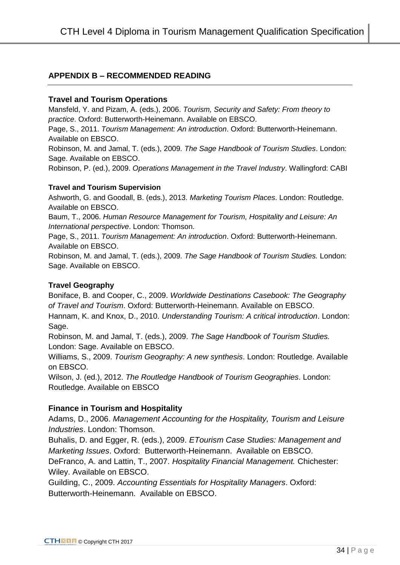# **APPENDIX B – RECOMMENDED READING**

### **Travel and Tourism Operations**

Mansfeld, Y. and Pizam, A. (eds.), 2006. *Tourism, Security and Safety: From theory to practice*. Oxford: Butterworth-Heinemann. Available on EBSCO.

Page, S., 2011. *Tourism Management: An introduction*. Oxford: Butterworth-Heinemann. Available on EBSCO.

Robinson, M. and Jamal, T. (eds.), 2009. *The Sage Handbook of Tourism Studies*. London: Sage. Available on EBSCO.

Robinson, P. (ed.), 2009. *Operations Management in the Travel Industry*. Wallingford: CABI

### **Travel and Tourism Supervision**

Ashworth, G. and Goodall, B. (eds.), 2013. *Marketing Tourism Places*. London: Routledge. Available on EBSCO.

Baum, T., 2006. *Human Resource Management for Tourism, Hospitality and Leisure: An International perspective*. London: Thomson.

Page, S., 2011. *Tourism Management: An introduction*. Oxford: Butterworth-Heinemann. Available on EBSCO.

Robinson, M. and Jamal, T. (eds.), 2009. *The Sage Handbook of Tourism Studies.* London: Sage. Available on EBSCO.

### **Travel Geography**

Boniface, B. and Cooper, C., 2009. *Worldwide Destinations Casebook: The Geography of Travel and Tourism*. Oxford: Butterworth-Heinemann. Available on EBSCO.

Hannam, K. and Knox, D., 2010. *Understanding Tourism: A critical introduction*. London: Sage.

Robinson, M. and Jamal, T. (eds.), 2009. *The Sage Handbook of Tourism Studies.*  London: Sage. Available on EBSCO.

Williams, S., 2009. *Tourism Geography: A new synthesis*. London: Routledge. Available on EBSCO.

Wilson, J. (ed.), 2012. *The Routledge Handbook of Tourism Geographies*. London: Routledge. Available on EBSCO

## **Finance in Tourism and Hospitality**

Adams, D., 2006. *Management Accounting for the Hospitality, Tourism and Leisure Industries*. London: Thomson.

Buhalis, D. and Egger, R. (eds.), 2009. *ETourism Case Studies: Management and Marketing Issues*. Oxford: Butterworth-Heinemann. Available on EBSCO.

DeFranco, A. and Lattin, T., 2007. *Hospitality Financial Management.* Chichester: Wiley. Available on EBSCO.

Guilding, C., 2009. *Accounting Essentials for Hospitality Managers*. Oxford: Butterworth-Heinemann. Available on EBSCO.